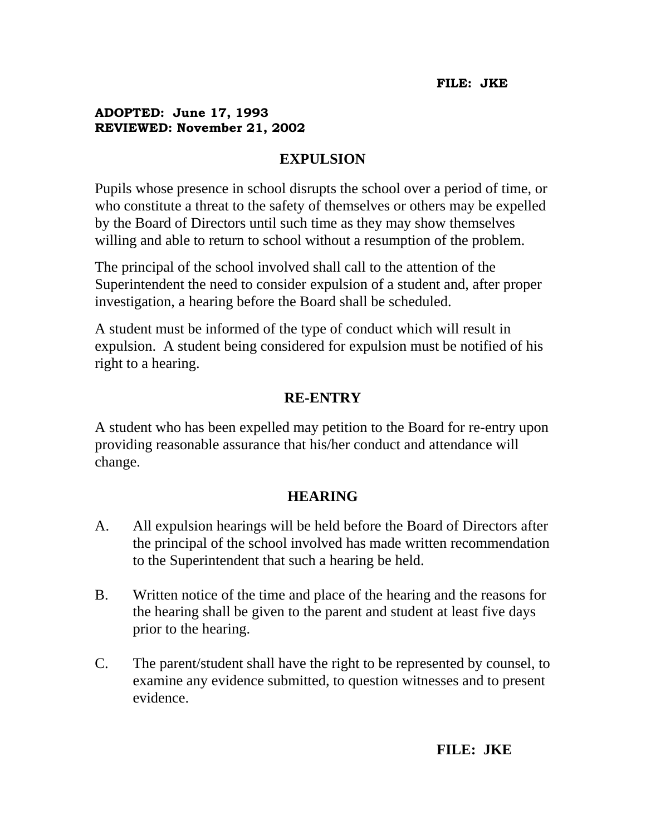## **ADOPTED: June 17, 1993 REVIEWED: November 21, 2002**

## **EXPULSION**

Pupils whose presence in school disrupts the school over a period of time, or who constitute a threat to the safety of themselves or others may be expelled by the Board of Directors until such time as they may show themselves willing and able to return to school without a resumption of the problem.

The principal of the school involved shall call to the attention of the Superintendent the need to consider expulsion of a student and, after proper investigation, a hearing before the Board shall be scheduled.

A student must be informed of the type of conduct which will result in expulsion. A student being considered for expulsion must be notified of his right to a hearing.

## **RE-ENTRY**

A student who has been expelled may petition to the Board for re-entry upon providing reasonable assurance that his/her conduct and attendance will change.

## **HEARING**

- A. All expulsion hearings will be held before the Board of Directors after the principal of the school involved has made written recommendation to the Superintendent that such a hearing be held.
- B. Written notice of the time and place of the hearing and the reasons for the hearing shall be given to the parent and student at least five days prior to the hearing.
- C. The parent/student shall have the right to be represented by counsel, to examine any evidence submitted, to question witnesses and to present evidence.